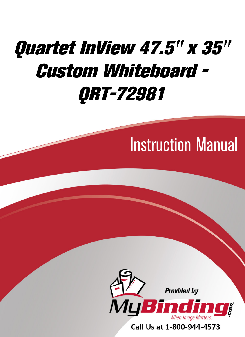## [Quartet InView 47.5" x 35"](https://www.mybinding.com/quartet-inview-custom-whiteboard.html?sku=QRT-72981)  Custom Whiteboard - QRT-72981

## Instruction Manual



Call Us at 1-800-944-4573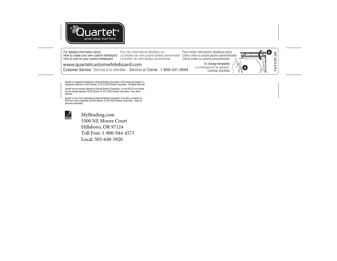

For detailed information about: How to care for your custom whiteboard

How to create your own custom whiteboard La création de votre propre tableau personnalisé Pour des informations détaillées sur : L'entretien de votre tableau personnalisé

Para recibir información detallada sobre: Cómo crear su propia pizarra personalizada Cómo cuidar su pizarra personalizada

Le changement de gabarits :



**www.quartetcustomwhiteboard.com**

Customer Service: Service à la clientèle : Servicio al Cliente: **1-800-541-0094**

Quartet is a registered trademark of General Binding Corporation. ACCO name and design is a registered trademark of ACCO Brands. © 2013 ACCO Brands Corporation. All Rights Reserved.

Quartet est une marque déposée de General Binding Corporation. Le nom ACCO et son dessin est une marque déposée d'ACCO Brands. © 2013 ACCO Brands Corporation. Tous droits réservés.

Quartet es una marc registradas de General Binding Corporation. El nombre y el diseño de ACCO son marca registrada de ACCO Brands. © 2013 ACCO Brands Corporation. Todos los derechos reservados.



[MyBinding.com](http://www.mybinding.com) 5500 NE Moore Court Hillsboro, OR 97124 Toll Free: 1-800-944-4573

Local: 503-640-5920